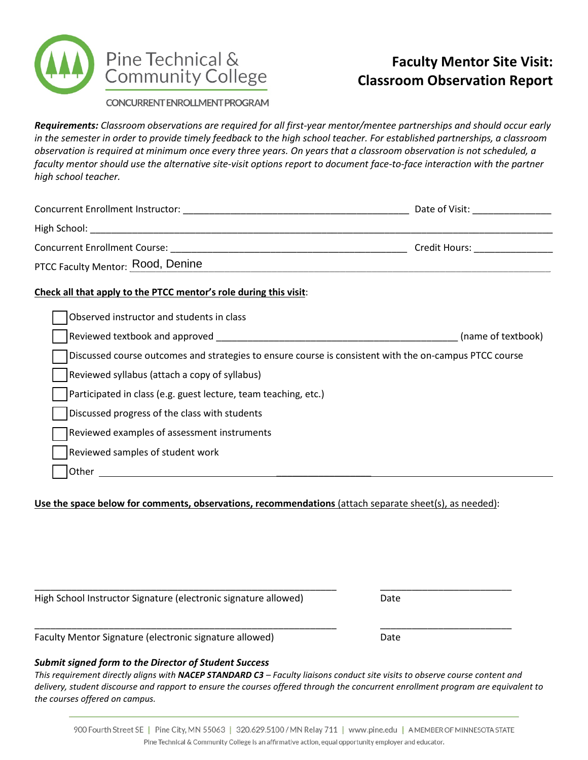

# **Faculty Mentor Site Visit: Classroom Observation Report**

CONCURRENT ENROLL MENT PROGRAM

*Requirements: Classroom observations are required for all first-year mentor/mentee partnerships and should occur early in the semester in order to provide timely feedback to the high school teacher. For established partnerships, a classroom observation is required at minimum once every three years. On years that a classroom observation is not scheduled, a faculty mentor should use the alternative site-visit options report to document face-to-face interaction with the partner high school teacher.*

|                                                                                                        | Date of Visit: National Contract of Visit: |
|--------------------------------------------------------------------------------------------------------|--------------------------------------------|
|                                                                                                        |                                            |
|                                                                                                        | Credit Hours: ________________             |
| PTCC Faculty Mentor: Rood, Denine                                                                      |                                            |
| Check all that apply to the PTCC mentor's role during this visit:                                      |                                            |
| Observed instructor and students in class                                                              |                                            |
|                                                                                                        | (name of textbook)                         |
| Discussed course outcomes and strategies to ensure course is consistent with the on-campus PTCC course |                                            |
| Reviewed syllabus (attach a copy of syllabus)                                                          |                                            |
| Participated in class (e.g. guest lecture, team teaching, etc.)                                        |                                            |
| Discussed progress of the class with students                                                          |                                            |
| Reviewed examples of assessment instruments                                                            |                                            |
| Reviewed samples of student work                                                                       |                                            |
| Other                                                                                                  |                                            |

**Use the space below for comments, observations, recommendations** (attach separate sheet(s), as needed):

| High School Instructor Signature (electronic signature allowed) | Date |  |
|-----------------------------------------------------------------|------|--|
| Faculty Mentor Signature (electronic signature allowed)         | Date |  |

# *Submit signed form to the Director of Student Success*

*This requirement directly aligns with NACEP STANDARD C3 – Faculty liaisons conduct site visits to observe course content and delivery, student discourse and rapport to ensure the courses offered through the concurrent enrollment program are equivalent to the courses offered on campus.*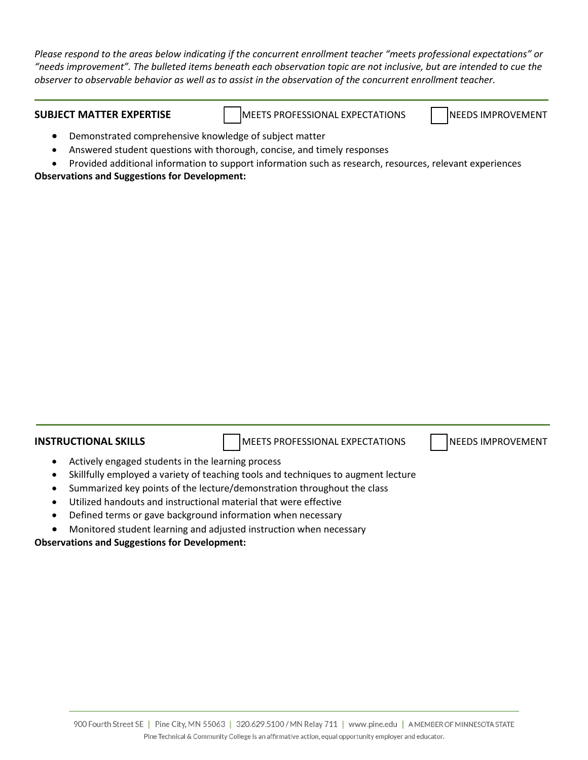*Please respond to the areas below indicating if the concurrent enrollment teacher "meets professional expectations" or "needs improvement". The bulleted items beneath each observation topic are not inclusive, but are intended to cue the observer to observable behavior as well as to assist in the observation of the concurrent enrollment teacher.*

**SUBJECT MATTER EXPERTISE** MEETS PROFESSIONAL EXPECTATIONS NEEDS IMPROVEMENT

- Demonstrated comprehensive knowledge of subject matter
- Answered student questions with thorough, concise, and timely responses
- Provided additional information to support information such as research, resources, relevant experiences **Observations and Suggestions for Development:**

**INSTRUCTIONAL SKILLS MEETS PROFESSIONAL EXPECTATIONS** NEEDS IMPROVEMENT

- Actively engaged students in the learning process
- Skillfully employed a variety of teaching tools and techniques to augment lecture
- Summarized key points of the lecture/demonstration throughout the class
- Utilized handouts and instructional material that were effective
- Defined terms or gave background information when necessary
- Monitored student learning and adjusted instruction when necessary

**Observations and Suggestions for Development:**